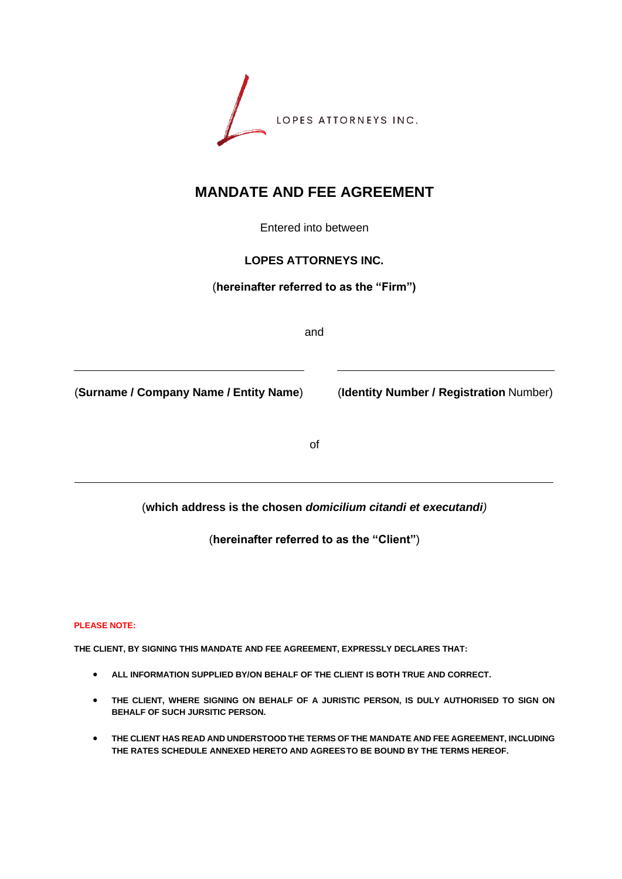

# **MANDATE AND FEE AGREEMENT**

Entered into between

#### **LOPES ATTORNEYS INC.**

(**hereinafter referred to as the "Firm")**

and

(**Surname / Company Name / Entity Name**) (**Identity Number / Registration** Number)

of

(**which address is the chosen** *domicilium citandi et executandi)*

(**hereinafter referred to as the "Client"**)

**PLEASE NOTE:**

**THE CLIENT, BY SIGNING THIS MANDATE AND FEE AGREEMENT, EXPRESSLY DECLARES THAT:**

- **ALL INFORMATION SUPPLIED BY/ON BEHALF OF THE CLIENT IS BOTH TRUE AND CORRECT.**
- **THE CLIENT, WHERE SIGNING ON BEHALF OF A JURISTIC PERSON, IS DULY AUTHORISED TO SIGN ON BEHALF OF SUCH JURSITIC PERSON.**
- **THE CLIENT HAS READ AND UNDERSTOOD THE TERMS OF THE MANDATE AND FEE AGREEMENT, INCLUDING THE RATES SCHEDULE ANNEXED HERETO AND AGREESTO BE BOUND BY THE TERMS HEREOF.**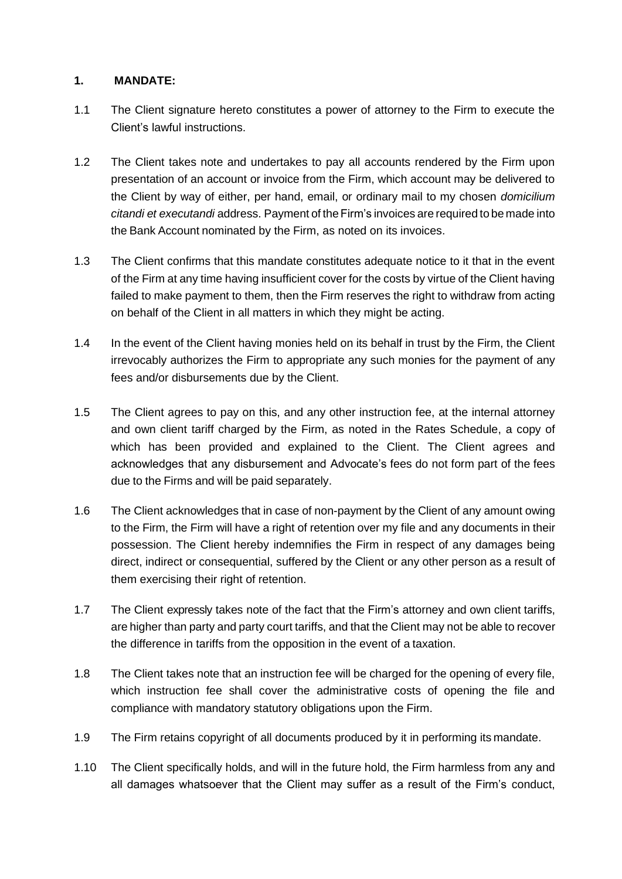#### **1. MANDATE:**

- 1.1 The Client signature hereto constitutes a power of attorney to the Firm to execute the Client's lawful instructions.
- 1.2 The Client takes note and undertakes to pay all accounts rendered by the Firm upon presentation of an account or invoice from the Firm, which account may be delivered to the Client by way of either, per hand, email, or ordinary mail to my chosen *domicilium citandi et executandi* address. Payment of theFirm's invoices are required to be made into the Bank Account nominated by the Firm, as noted on its invoices.
- 1.3 The Client confirms that this mandate constitutes adequate notice to it that in the event of the Firm at any time having insufficient cover for the costs by virtue of the Client having failed to make payment to them, then the Firm reserves the right to withdraw from acting on behalf of the Client in all matters in which they might be acting.
- 1.4 In the event of the Client having monies held on its behalf in trust by the Firm, the Client irrevocably authorizes the Firm to appropriate any such monies for the payment of any fees and/or disbursements due by the Client.
- 1.5 The Client agrees to pay on this, and any other instruction fee, at the internal attorney and own client tariff charged by the Firm, as noted in the Rates Schedule, a copy of which has been provided and explained to the Client. The Client agrees and acknowledges that any disbursement and Advocate's fees do not form part of the fees due to the Firms and will be paid separately.
- 1.6 The Client acknowledges that in case of non-payment by the Client of any amount owing to the Firm, the Firm will have a right of retention over my file and any documents in their possession. The Client hereby indemnifies the Firm in respect of any damages being direct, indirect or consequential, suffered by the Client or any other person as a result of them exercising their right of retention.
- 1.7 The Client expressly takes note of the fact that the Firm's attorney and own client tariffs, are higher than party and party court tariffs, and that the Client may not be able to recover the difference in tariffs from the opposition in the event of a taxation.
- 1.8 The Client takes note that an instruction fee will be charged for the opening of every file, which instruction fee shall cover the administrative costs of opening the file and compliance with mandatory statutory obligations upon the Firm.
- 1.9 The Firm retains copyright of all documents produced by it in performing its mandate.
- 1.10 The Client specifically holds, and will in the future hold, the Firm harmless from any and all damages whatsoever that the Client may suffer as a result of the Firm's conduct,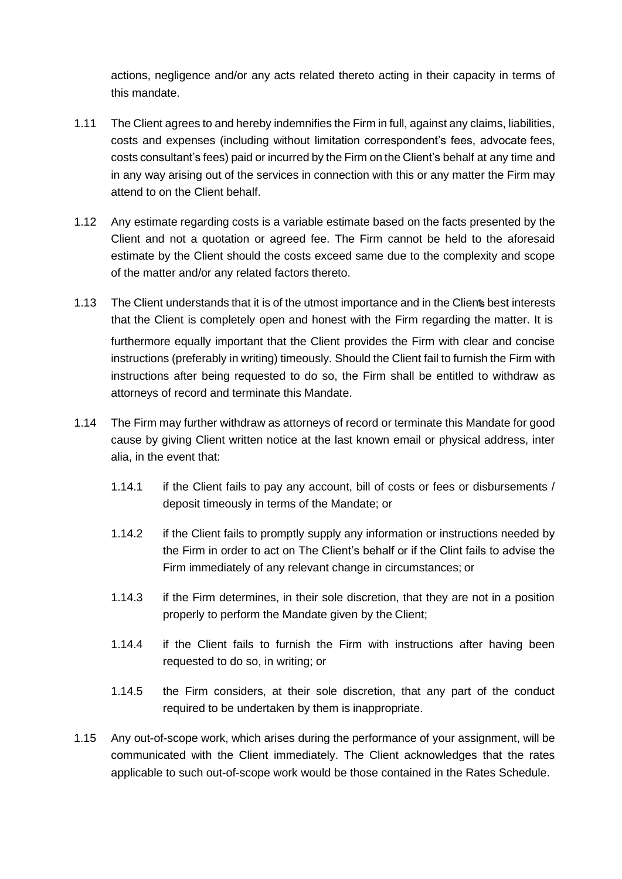actions, negligence and/or any acts related thereto acting in their capacity in terms of this mandate.

- 1.11 The Client agrees to and hereby indemnifies the Firm in full, against any claims, liabilities, costs and expenses (including without limitation correspondent's fees, advocate fees, costs consultant's fees) paid or incurred by the Firm on the Client's behalf at any time and in any way arising out of the services in connection with this or any matter the Firm may attend to on the Client behalf.
- 1.12 Any estimate regarding costs is a variable estimate based on the facts presented by the Client and not a quotation or agreed fee. The Firm cannot be held to the aforesaid estimate by the Client should the costs exceed same due to the complexity and scope of the matter and/or any related factors thereto.
- 1.13 The Client understands that it is of the utmost importance and in the Clients best interests that the Client is completely open and honest with the Firm regarding the matter. It is furthermore equally important that the Client provides the Firm with clear and concise instructions (preferably in writing) timeously. Should the Client fail to furnish the Firm with instructions after being requested to do so, the Firm shall be entitled to withdraw as attorneys of record and terminate this Mandate.
- 1.14 The Firm may further withdraw as attorneys of record or terminate this Mandate for good cause by giving Client written notice at the last known email or physical address, inter alia, in the event that:
	- 1.14.1 if the Client fails to pay any account, bill of costs or fees or disbursements / deposit timeously in terms of the Mandate; or
	- 1.14.2 if the Client fails to promptly supply any information or instructions needed by the Firm in order to act on The Client's behalf or if the Clint fails to advise the Firm immediately of any relevant change in circumstances; or
	- 1.14.3 if the Firm determines, in their sole discretion, that they are not in a position properly to perform the Mandate given by the Client;
	- 1.14.4 if the Client fails to furnish the Firm with instructions after having been requested to do so, in writing; or
	- 1.14.5 the Firm considers, at their sole discretion, that any part of the conduct required to be undertaken by them is inappropriate.
- 1.15 Any out-of-scope work, which arises during the performance of your assignment, will be communicated with the Client immediately. The Client acknowledges that the rates applicable to such out-of-scope work would be those contained in the Rates Schedule.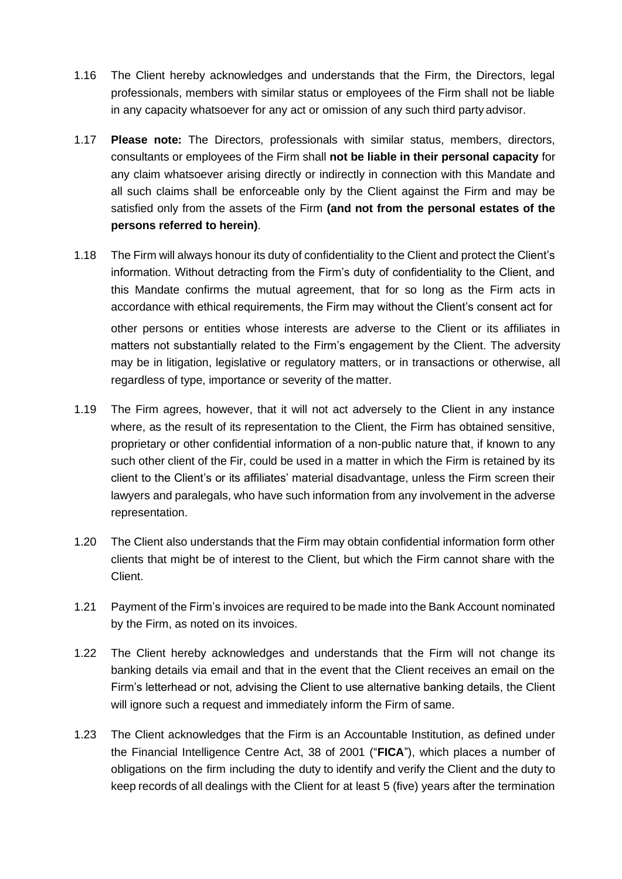- 1.16 The Client hereby acknowledges and understands that the Firm, the Directors, legal professionals, members with similar status or employees of the Firm shall not be liable in any capacity whatsoever for any act or omission of any such third party advisor.
- 1.17 **Please note:** The Directors, professionals with similar status, members, directors, consultants or employees of the Firm shall **not be liable in their personal capacity** for any claim whatsoever arising directly or indirectly in connection with this Mandate and all such claims shall be enforceable only by the Client against the Firm and may be satisfied only from the assets of the Firm **(and not from the personal estates of the persons referred to herein)**.
- 1.18 The Firm will always honour its duty of confidentiality to the Client and protect the Client's information. Without detracting from the Firm's duty of confidentiality to the Client, and this Mandate confirms the mutual agreement, that for so long as the Firm acts in accordance with ethical requirements, the Firm may without the Client's consent act for other persons or entities whose interests are adverse to the Client or its affiliates in matters not substantially related to the Firm's engagement by the Client. The adversity may be in litigation, legislative or regulatory matters, or in transactions or otherwise, all regardless of type, importance or severity of the matter.
- 1.19 The Firm agrees, however, that it will not act adversely to the Client in any instance where, as the result of its representation to the Client, the Firm has obtained sensitive, proprietary or other confidential information of a non-public nature that, if known to any such other client of the Fir, could be used in a matter in which the Firm is retained by its client to the Client's or its affiliates' material disadvantage, unless the Firm screen their lawyers and paralegals, who have such information from any involvement in the adverse representation.
- 1.20 The Client also understands that the Firm may obtain confidential information form other clients that might be of interest to the Client, but which the Firm cannot share with the Client.
- 1.21 Payment of the Firm's invoices are required to be made into the Bank Account nominated by the Firm, as noted on its invoices.
- 1.22 The Client hereby acknowledges and understands that the Firm will not change its banking details via email and that in the event that the Client receives an email on the Firm's letterhead or not, advising the Client to use alternative banking details, the Client will ignore such a request and immediately inform the Firm of same.
- 1.23 The Client acknowledges that the Firm is an Accountable Institution, as defined under the Financial Intelligence Centre Act, 38 of 2001 ("**FICA**"), which places a number of obligations on the firm including the duty to identify and verify the Client and the duty to keep records of all dealings with the Client for at least 5 (five) years after the termination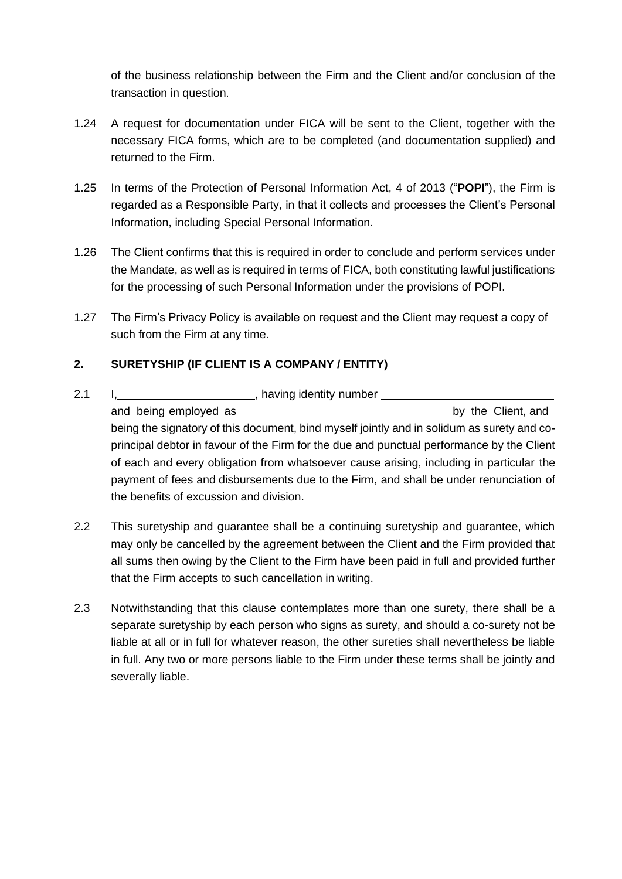of the business relationship between the Firm and the Client and/or conclusion of the transaction in question.

- 1.24 A request for documentation under FICA will be sent to the Client, together with the necessary FICA forms, which are to be completed (and documentation supplied) and returned to the Firm.
- 1.25 In terms of the Protection of Personal Information Act, 4 of 2013 ("**POPI**"), the Firm is regarded as a Responsible Party, in that it collects and processes the Client's Personal Information, including Special Personal Information.
- 1.26 The Client confirms that this is required in order to conclude and perform services under the Mandate, as well as is required in terms of FICA, both constituting lawful justifications for the processing of such Personal Information under the provisions of POPI.
- 1.27 The Firm's Privacy Policy is available on request and the Client may request a copy of such from the Firm at any time.

## **2. SURETYSHIP (IF CLIENT IS A COMPANY / ENTITY)**

- 2.1 I, 1, 2.1 I, 2.1 I, 2.1 I, 2.1 I, 2.1 I, 2.1 I, 2.1 I, 2.1 I, 2.1 I, 2.1 I, 2.1 I, 2.1 I, 2.1 I, 2.1 I, 2.1 I, 2.1 I, 2.1 I, 2.1 I, 2.1 I, 2.1 I, 2.1 I, 2.1 I, 2.1 I, 2.1 I, 2.1 I, 2.1 I, 2.1 I, 2.1 I, 2.1 I, 2.1 I, 2. and being employed as **by the Client, and** being the signatory of this document, bind myself jointly and in solidum as surety and coprincipal debtor in favour of the Firm for the due and punctual performance by the Client of each and every obligation from whatsoever cause arising, including in particular the payment of fees and disbursements due to the Firm, and shall be under renunciation of the benefits of excussion and division.
- 2.2 This suretyship and guarantee shall be a continuing suretyship and guarantee, which may only be cancelled by the agreement between the Client and the Firm provided that all sums then owing by the Client to the Firm have been paid in full and provided further that the Firm accepts to such cancellation in writing.
- 2.3 Notwithstanding that this clause contemplates more than one surety, there shall be a separate suretyship by each person who signs as surety, and should a co-surety not be liable at all or in full for whatever reason, the other sureties shall nevertheless be liable in full. Any two or more persons liable to the Firm under these terms shall be jointly and severally liable.